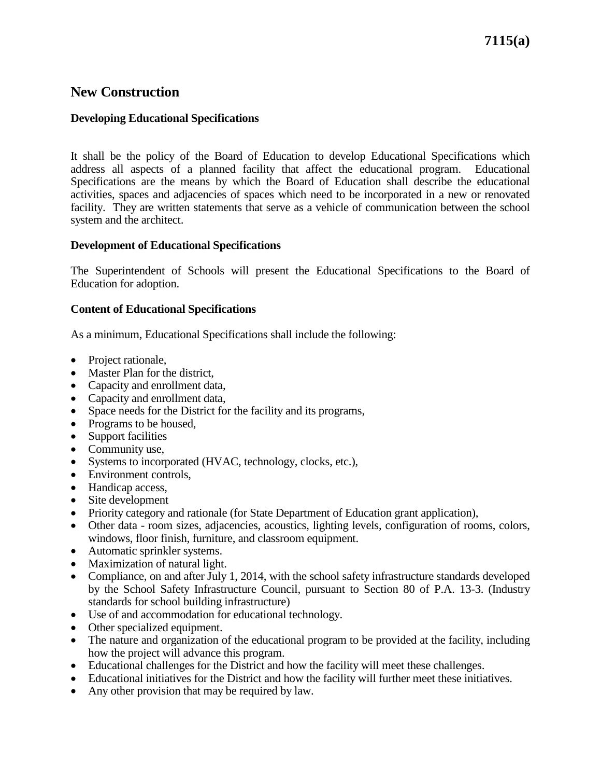# **New Construction**

## **Developing Educational Specifications**

It shall be the policy of the Board of Education to develop Educational Specifications which address all aspects of a planned facility that affect the educational program. Educational Specifications are the means by which the Board of Education shall describe the educational activities, spaces and adjacencies of spaces which need to be incorporated in a new or renovated facility. They are written statements that serve as a vehicle of communication between the school system and the architect.

#### **Development of Educational Specifications**

The Superintendent of Schools will present the Educational Specifications to the Board of Education for adoption.

#### **Content of Educational Specifications**

As a minimum, Educational Specifications shall include the following:

- Project rationale.
- Master Plan for the district,
- Capacity and enrollment data,
- Capacity and enrollment data,
- Space needs for the District for the facility and its programs,
- Programs to be housed,
- Support facilities
- Community use,
- Systems to incorporated (HVAC, technology, clocks, etc.),
- Environment controls,
- Handicap access,
- Site development
- Priority category and rationale (for State Department of Education grant application),
- Other data room sizes, adjacencies, acoustics, lighting levels, configuration of rooms, colors, windows, floor finish, furniture, and classroom equipment.
- Automatic sprinkler systems.
- Maximization of natural light.
- Compliance, on and after July 1, 2014, with the school safety infrastructure standards developed by the School Safety Infrastructure Council, pursuant to Section 80 of P.A. 13-3. (Industry standards for school building infrastructure)
- Use of and accommodation for educational technology.
- Other specialized equipment.
- The nature and organization of the educational program to be provided at the facility, including how the project will advance this program.
- Educational challenges for the District and how the facility will meet these challenges.
- Educational initiatives for the District and how the facility will further meet these initiatives.
- Any other provision that may be required by law.